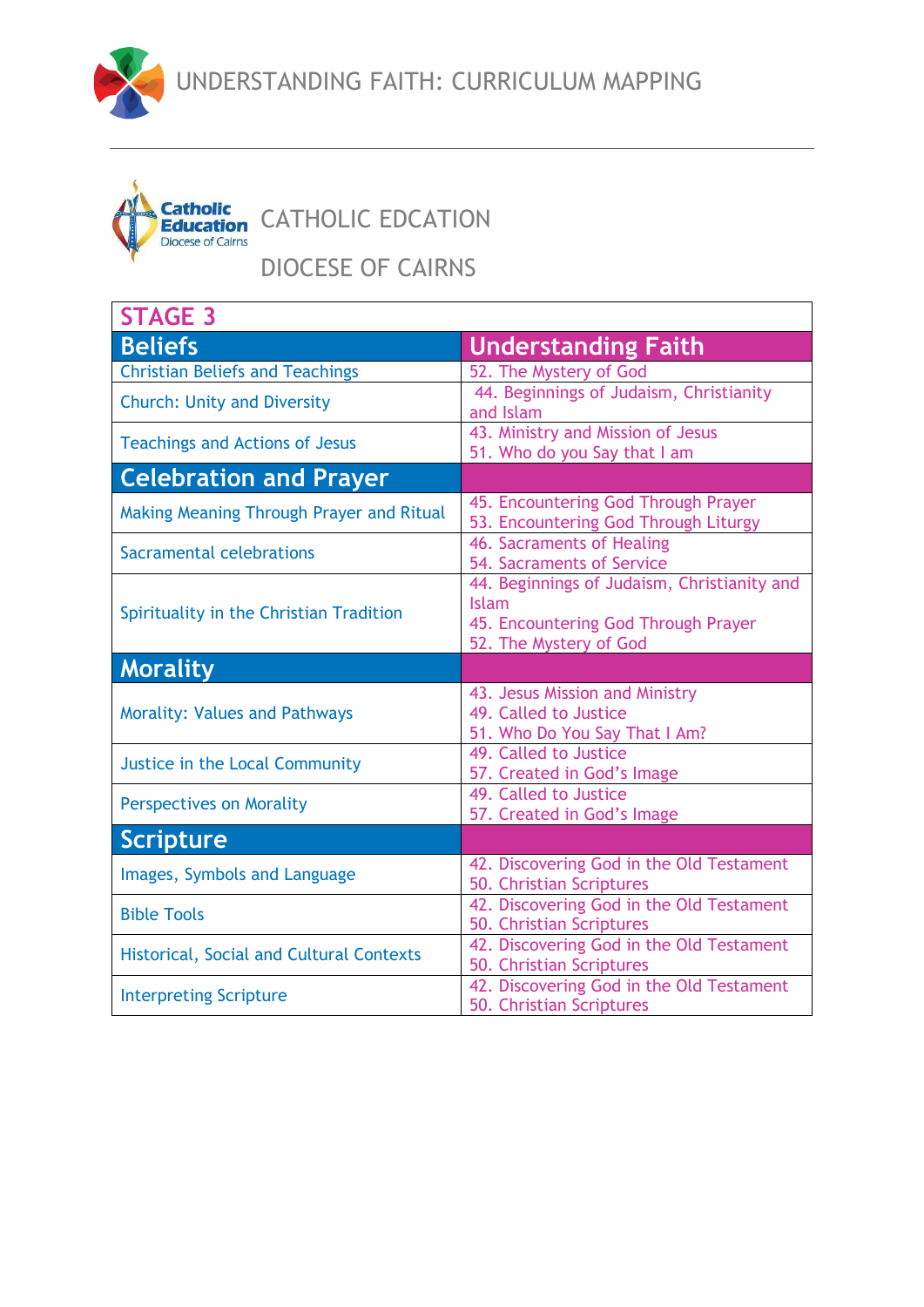



Catholic<br>Education CATHOLIC EDCATION

DIOCESE OF CAIRNS

| <b>STAGE 3</b>                                  |                                                                                                                              |  |
|-------------------------------------------------|------------------------------------------------------------------------------------------------------------------------------|--|
| <b>Beliefs</b>                                  | <b>Understanding Faith</b>                                                                                                   |  |
| <b>Christian Beliefs and Teachings</b>          | 52. The Mystery of God                                                                                                       |  |
| <b>Church: Unity and Diversity</b>              | 44. Beginnings of Judaism, Christianity<br>and Islam                                                                         |  |
| <b>Teachings and Actions of Jesus</b>           | 43. Ministry and Mission of Jesus<br>51. Who do you Say that I am                                                            |  |
| <b>Celebration and Prayer</b>                   |                                                                                                                              |  |
| Making Meaning Through Prayer and Ritual        | 45. Encountering God Through Prayer<br>53. Encountering God Through Liturgy                                                  |  |
| Sacramental celebrations                        | 46. Sacraments of Healing<br>54. Sacraments of Service                                                                       |  |
| Spirituality in the Christian Tradition         | 44. Beginnings of Judaism, Christianity and<br><b>Islam</b><br>45. Encountering God Through Prayer<br>52. The Mystery of God |  |
| <b>Morality</b>                                 |                                                                                                                              |  |
| <b>Morality: Values and Pathways</b>            | 43. Jesus Mission and Ministry<br>49. Called to Justice<br>51. Who Do You Say That I Am?                                     |  |
| Justice in the Local Community                  | 49. Called to Justice<br>57. Created in God's Image                                                                          |  |
| <b>Perspectives on Morality</b>                 | 49. Called to Justice<br>57. Created in God's Image                                                                          |  |
| Scripture                                       |                                                                                                                              |  |
| Images, Symbols and Language                    | 42. Discovering God in the Old Testament<br>50. Christian Scriptures                                                         |  |
| <b>Bible Tools</b>                              | 42. Discovering God in the Old Testament<br>50. Christian Scriptures                                                         |  |
| <b>Historical, Social and Cultural Contexts</b> | 42. Discovering God in the Old Testament<br>50. Christian Scriptures                                                         |  |
| <b>Interpreting Scripture</b>                   | 42. Discovering God in the Old Testament<br>50. Christian Scriptures                                                         |  |